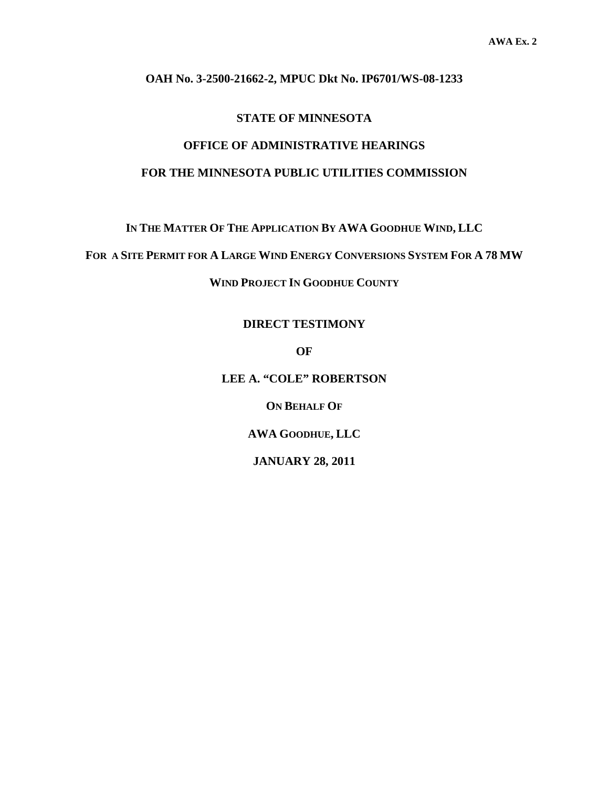### **OAH No. 3-2500-21662-2, MPUC Dkt No. IP6701/WS-08-1233**

### **STATE OF MINNESOTA**

# **OFFICE OF ADMINISTRATIVE HEARINGS FOR THE MINNESOTA PUBLIC UTILITIES COMMISSION**

**IN THE MATTER OF THE APPLICATION BY AWA GOODHUE WIND, LLC** 

**FOR A SITE PERMIT FOR A LARGE WIND ENERGY CONVERSIONS SYSTEM FOR A 78 MW**

**WIND PROJECT IN GOODHUE COUNTY** 

**DIRECT TESTIMONY** 

**OF** 

**LEE A. "COLE" ROBERTSON** 

**ON BEHALF OF** 

**AWA GOODHUE, LLC** 

**JANUARY 28, 2011**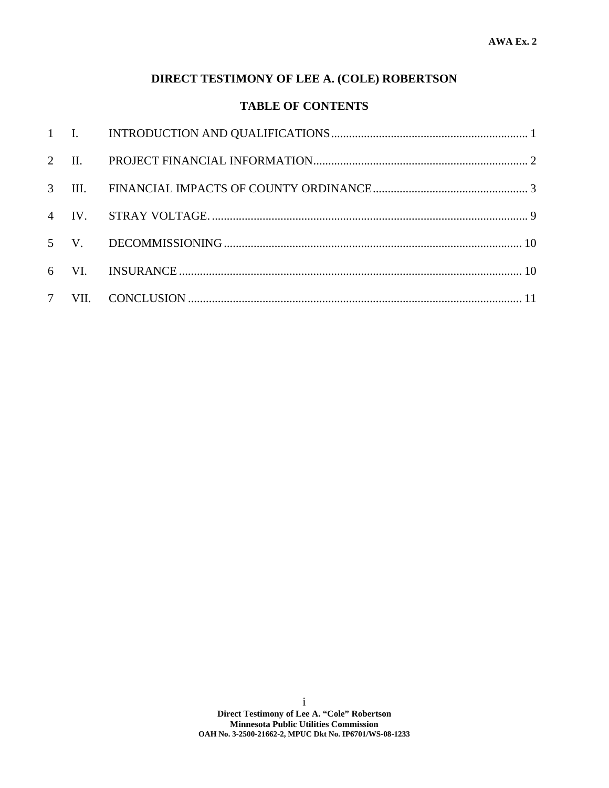## **DIRECT TESTIMONY OF LEE A. (COLE) ROBERTSON**

# **TABLE OF CONTENTS**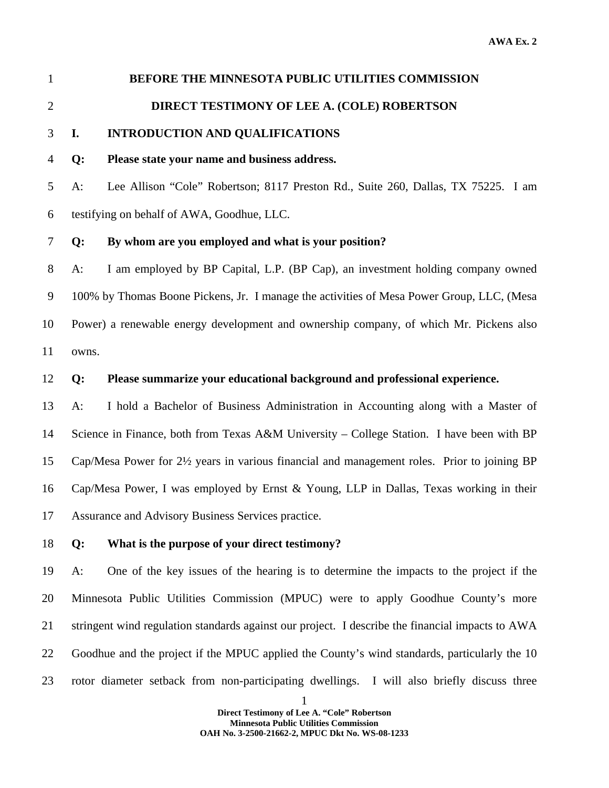|   | <b>BEFORE THE MINNESOTA PUBLIC UTILITIES COMMISSION</b> |
|---|---------------------------------------------------------|
| 2 | DIRECT TESTIMONY OF LEE A. (COLE) ROBERTSON             |
|   | 3 I. INTRODUCTION AND QUALIFICATIONS                    |
|   | 4 Q: Please state your name and business address.       |

5 A: Lee Allison "Cole" Robertson; 8117 Preston Rd., Suite 260, Dallas, TX 75225. I am 6 testifying on behalf of AWA, Goodhue, LLC.

## 7 **Q: By whom are you employed and what is your position?**

8 A: I am employed by BP Capital, L.P. (BP Cap), an investment holding company owned 9 100% by Thomas Boone Pickens, Jr. I manage the activities of Mesa Power Group, LLC, (Mesa 10 Power) a renewable energy development and ownership company, of which Mr. Pickens also 11 owns.

#### 12 **Q: Please summarize your educational background and professional experience.**

13 A: I hold a Bachelor of Business Administration in Accounting along with a Master of 14 Science in Finance, both from Texas A&M University – College Station. I have been with BP 15 Cap/Mesa Power for 2½ years in various financial and management roles. Prior to joining BP 16 Cap/Mesa Power, I was employed by Ernst & Young, LLP in Dallas, Texas working in their 17 Assurance and Advisory Business Services practice.

### 18 **Q: What is the purpose of your direct testimony?**

19 A: One of the key issues of the hearing is to determine the impacts to the project if the 20 Minnesota Public Utilities Commission (MPUC) were to apply Goodhue County's more 21 stringent wind regulation standards against our project. I describe the financial impacts to AWA 22 Goodhue and the project if the MPUC applied the County's wind standards, particularly the 10 23 rotor diameter setback from non-participating dwellings. I will also briefly discuss three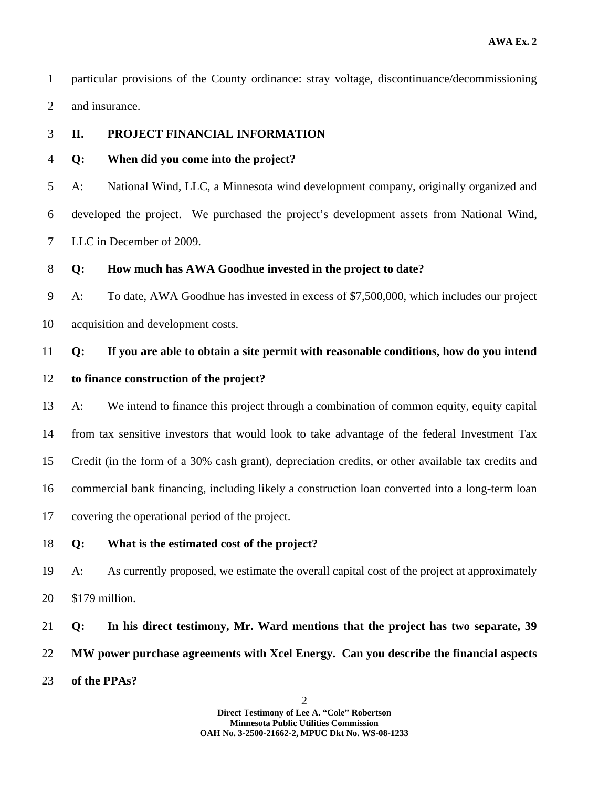1 particular provisions of the County ordinance: stray voltage, discontinuance/decommissioning 2 and insurance.

3 **II. PROJECT FINANCIAL INFORMATION** 

4 **Q: When did you come into the project?** 

5 A: National Wind, LLC, a Minnesota wind development company, originally organized and 6 developed the project. We purchased the project's development assets from National Wind, 7 LLC in December of 2009.

8 **Q: How much has AWA Goodhue invested in the project to date?** 

9 A: To date, AWA Goodhue has invested in excess of \$7,500,000, which includes our project 10 acquisition and development costs.

# 11 **Q: If you are able to obtain a site permit with reasonable conditions, how do you intend**  12 **to finance construction of the project?**

13 A: We intend to finance this project through a combination of common equity, equity capital 14 from tax sensitive investors that would look to take advantage of the federal Investment Tax 15 Credit (in the form of a 30% cash grant), depreciation credits, or other available tax credits and 16 commercial bank financing, including likely a construction loan converted into a long-term loan 17 covering the operational period of the project.

- 18 **Q: What is the estimated cost of the project?**
- 19 A: As currently proposed, we estimate the overall capital cost of the project at approximately 20 \$179 million.

21 **Q: In his direct testimony, Mr. Ward mentions that the project has two separate, 39**  22 **MW power purchase agreements with Xcel Energy. Can you describe the financial aspects**  23 **of the PPAs?**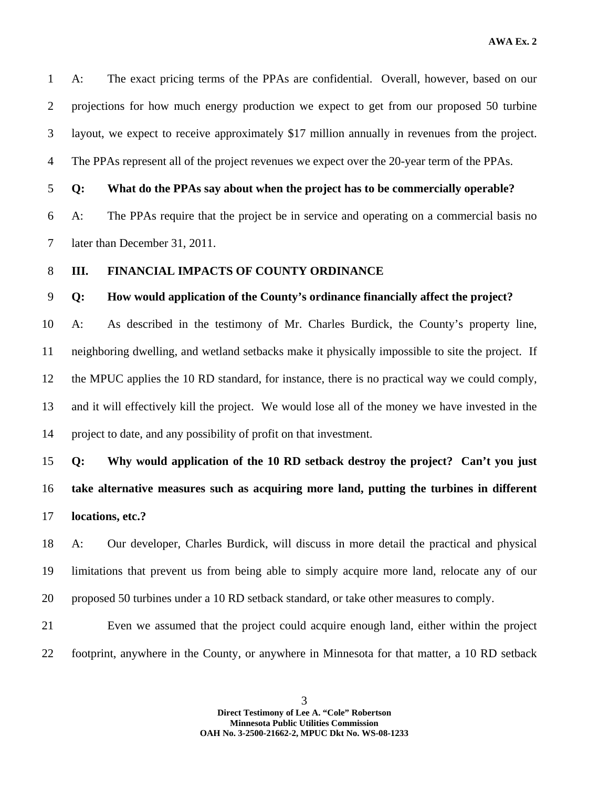1 A: The exact pricing terms of the PPAs are confidential. Overall, however, based on our 2 projections for how much energy production we expect to get from our proposed 50 turbine 3 layout, we expect to receive approximately \$17 million annually in revenues from the project. 4 The PPAs represent all of the project revenues we expect over the 20-year term of the PPAs.

5 **Q: What do the PPAs say about when the project has to be commercially operable?** 

6 A: The PPAs require that the project be in service and operating on a commercial basis no 7 later than December 31, 2011.

### 8 **III. FINANCIAL IMPACTS OF COUNTY ORDINANCE**

9 **Q: How would application of the County's ordinance financially affect the project?** 

10 A: As described in the testimony of Mr. Charles Burdick, the County's property line, 11 neighboring dwelling, and wetland setbacks make it physically impossible to site the project. If 12 the MPUC applies the 10 RD standard, for instance, there is no practical way we could comply, 13 and it will effectively kill the project. We would lose all of the money we have invested in the 14 project to date, and any possibility of profit on that investment.

15 **Q: Why would application of the 10 RD setback destroy the project? Can't you just**  16 **take alternative measures such as acquiring more land, putting the turbines in different**  17 **locations, etc.?** 

18 A: Our developer, Charles Burdick, will discuss in more detail the practical and physical 19 limitations that prevent us from being able to simply acquire more land, relocate any of our 20 proposed 50 turbines under a 10 RD setback standard, or take other measures to comply.

21 Even we assumed that the project could acquire enough land, either within the project 22 footprint, anywhere in the County, or anywhere in Minnesota for that matter, a 10 RD setback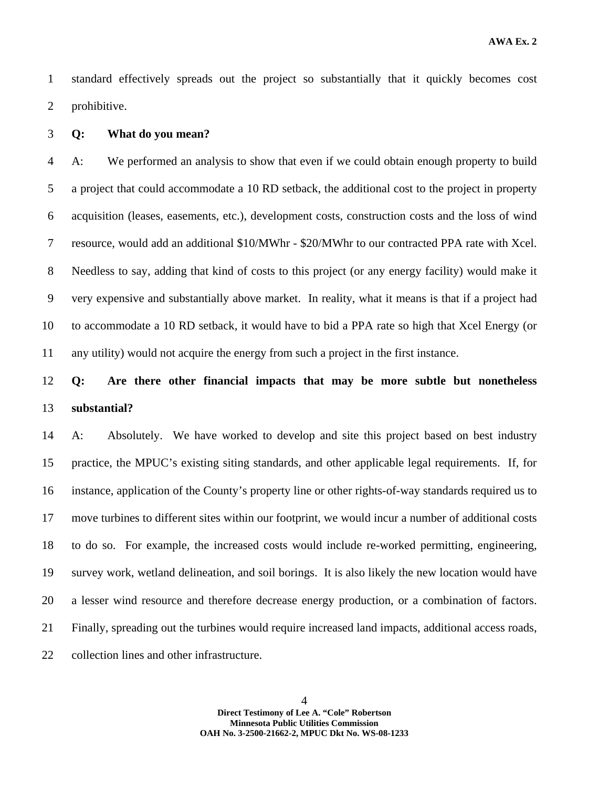1 standard effectively spreads out the project so substantially that it quickly becomes cost 2 prohibitive.

#### 3 **Q: What do you mean?**

4 A: We performed an analysis to show that even if we could obtain enough property to build 5 a project that could accommodate a 10 RD setback, the additional cost to the project in property 6 acquisition (leases, easements, etc.), development costs, construction costs and the loss of wind 7 resource, would add an additional \$10/MWhr - \$20/MWhr to our contracted PPA rate with Xcel. 8 Needless to say, adding that kind of costs to this project (or any energy facility) would make it 9 very expensive and substantially above market. In reality, what it means is that if a project had 10 to accommodate a 10 RD setback, it would have to bid a PPA rate so high that Xcel Energy (or 11 any utility) would not acquire the energy from such a project in the first instance.

# 12 **Q: Are there other financial impacts that may be more subtle but nonetheless**  13 **substantial?**

14 A: Absolutely. We have worked to develop and site this project based on best industry 15 practice, the MPUC's existing siting standards, and other applicable legal requirements. If, for 16 instance, application of the County's property line or other rights-of-way standards required us to 17 move turbines to different sites within our footprint, we would incur a number of additional costs 18 to do so. For example, the increased costs would include re-worked permitting, engineering, 19 survey work, wetland delineation, and soil borings. It is also likely the new location would have 20 a lesser wind resource and therefore decrease energy production, or a combination of factors. 21 Finally, spreading out the turbines would require increased land impacts, additional access roads, 22 collection lines and other infrastructure.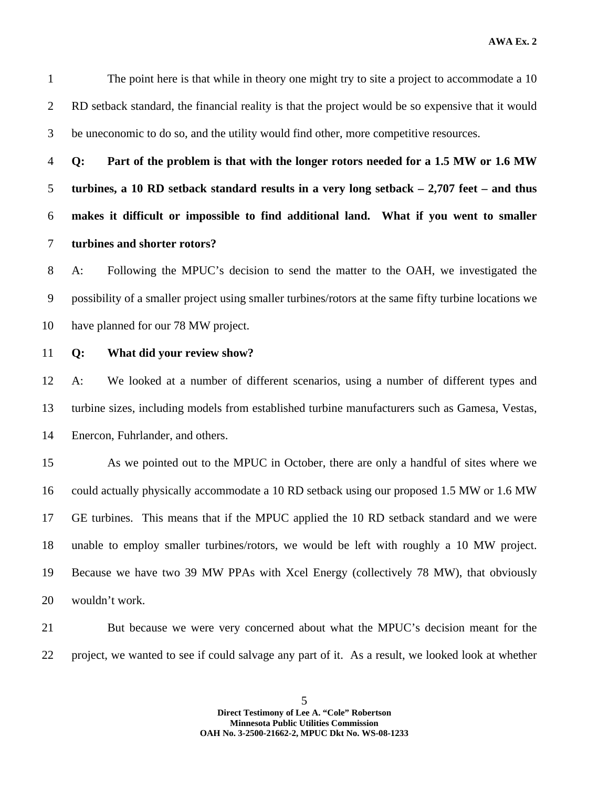1 The point here is that while in theory one might try to site a project to accommodate a 10 2 RD setback standard, the financial reality is that the project would be so expensive that it would 3 be uneconomic to do so, and the utility would find other, more competitive resources.

**Q: Part of the problem is that with the longer rotors needed for a 1.5 MW or 1.6 MW turbines, a 10 RD setback standard results in a very long setback – 2,707 feet – and thus makes it difficult or impossible to find additional land. What if you went to smaller turbines and shorter rotors?** 

8 A: Following the MPUC's decision to send the matter to the OAH, we investigated the 9 possibility of a smaller project using smaller turbines/rotors at the same fifty turbine locations we 10 have planned for our 78 MW project.

11 **Q: What did your review show?** 

12 A: We looked at a number of different scenarios, using a number of different types and 13 turbine sizes, including models from established turbine manufacturers such as Gamesa, Vestas, 14 Enercon, Fuhrlander, and others.

15 As we pointed out to the MPUC in October, there are only a handful of sites where we 16 could actually physically accommodate a 10 RD setback using our proposed 1.5 MW or 1.6 MW 17 GE turbines. This means that if the MPUC applied the 10 RD setback standard and we were 18 unable to employ smaller turbines/rotors, we would be left with roughly a 10 MW project. 19 Because we have two 39 MW PPAs with Xcel Energy (collectively 78 MW), that obviously 20 wouldn't work.

21 But because we were very concerned about what the MPUC's decision meant for the 22 project, we wanted to see if could salvage any part of it. As a result, we looked look at whether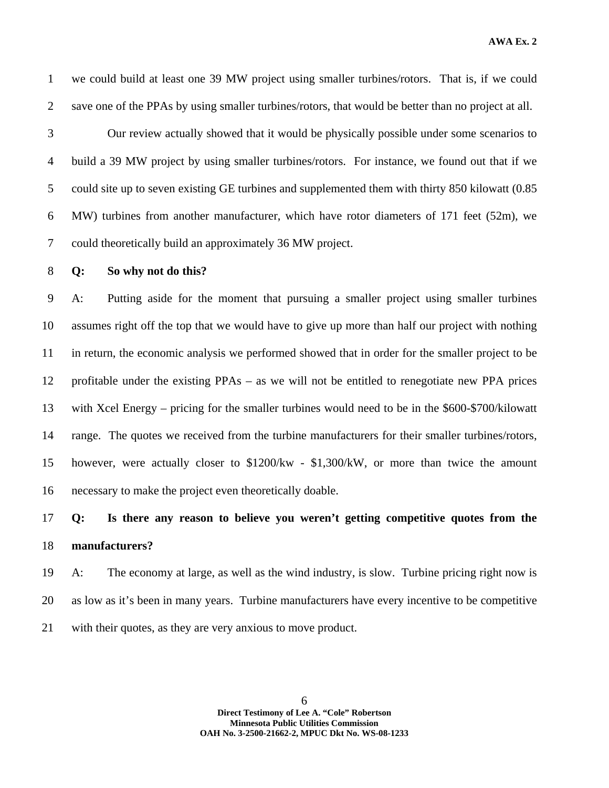1 we could build at least one 39 MW project using smaller turbines/rotors. That is, if we could 2 save one of the PPAs by using smaller turbines/rotors, that would be better than no project at all.

3 Our review actually showed that it would be physically possible under some scenarios to 4 build a 39 MW project by using smaller turbines/rotors. For instance, we found out that if we 5 could site up to seven existing GE turbines and supplemented them with thirty 850 kilowatt (0.85 6 MW) turbines from another manufacturer, which have rotor diameters of 171 feet (52m), we 7 could theoretically build an approximately 36 MW project.

#### 8 **Q: So why not do this?**

9 A: Putting aside for the moment that pursuing a smaller project using smaller turbines 10 assumes right off the top that we would have to give up more than half our project with nothing 11 in return, the economic analysis we performed showed that in order for the smaller project to be 12 profitable under the existing PPAs – as we will not be entitled to renegotiate new PPA prices 13 with Xcel Energy – pricing for the smaller turbines would need to be in the \$600-\$700/kilowatt 14 range. The quotes we received from the turbine manufacturers for their smaller turbines/rotors, 15 however, were actually closer to \$1200/kw - \$1,300/kW, or more than twice the amount 16 necessary to make the project even theoretically doable.

# 17 **Q: Is there any reason to believe you weren't getting competitive quotes from the**  18 **manufacturers?**

19 A: The economy at large, as well as the wind industry, is slow. Turbine pricing right now is 20 as low as it's been in many years. Turbine manufacturers have every incentive to be competitive 21 with their quotes, as they are very anxious to move product.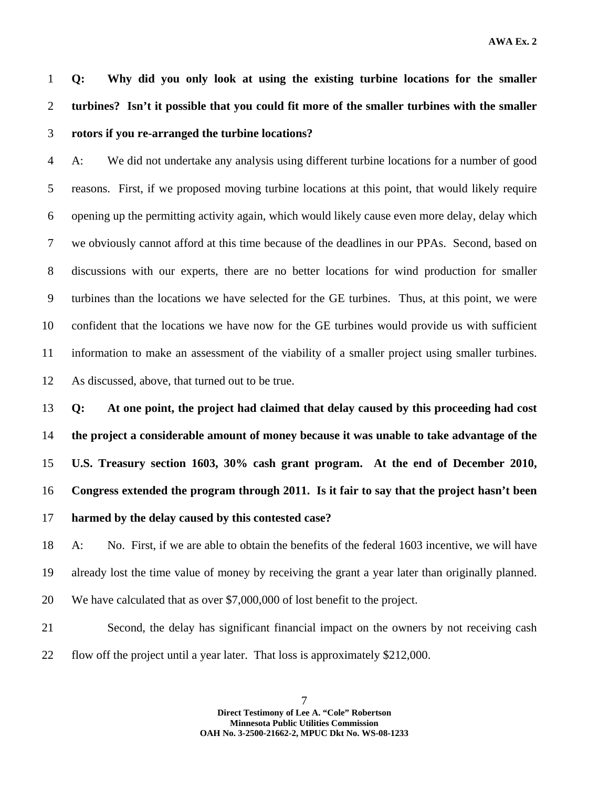1 **Q: Why did you only look at using the existing turbine locations for the smaller**  2 **turbines? Isn't it possible that you could fit more of the smaller turbines with the smaller**  3 **rotors if you re-arranged the turbine locations?** 

4 A: We did not undertake any analysis using different turbine locations for a number of good 5 reasons. First, if we proposed moving turbine locations at this point, that would likely require 6 opening up the permitting activity again, which would likely cause even more delay, delay which 7 we obviously cannot afford at this time because of the deadlines in our PPAs. Second, based on 8 discussions with our experts, there are no better locations for wind production for smaller 9 turbines than the locations we have selected for the GE turbines. Thus, at this point, we were 10 confident that the locations we have now for the GE turbines would provide us with sufficient 11 information to make an assessment of the viability of a smaller project using smaller turbines. 12 As discussed, above, that turned out to be true.

**Q: At one point, the project had claimed that delay caused by this proceeding had cost the project a considerable amount of money because it was unable to take advantage of the U.S. Treasury section 1603, 30% cash grant program. At the end of December 2010, Congress extended the program through 2011. Is it fair to say that the project hasn't been harmed by the delay caused by this contested case?** 

18 A: No. First, if we are able to obtain the benefits of the federal 1603 incentive, we will have 19 already lost the time value of money by receiving the grant a year later than originally planned. 20 We have calculated that as over \$7,000,000 of lost benefit to the project.

21 Second, the delay has significant financial impact on the owners by not receiving cash 22 flow off the project until a year later. That loss is approximately \$212,000.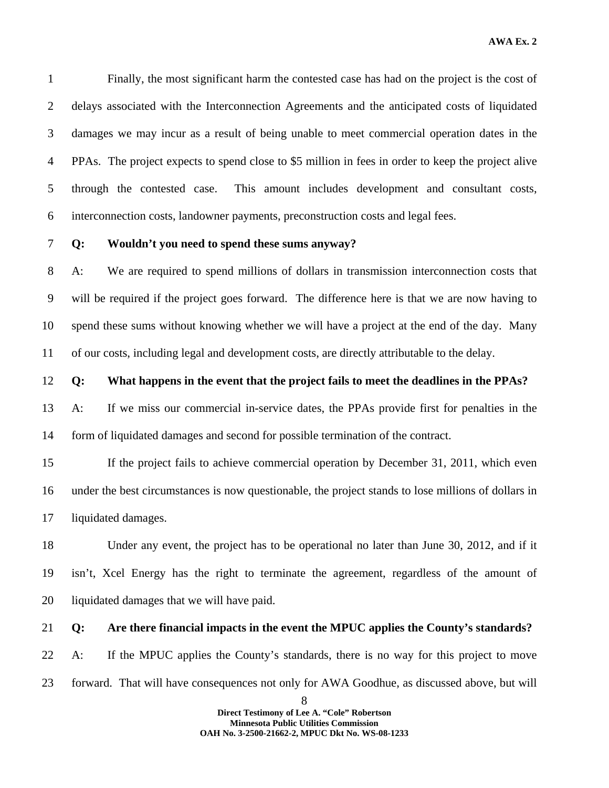1 Finally, the most significant harm the contested case has had on the project is the cost of 2 delays associated with the Interconnection Agreements and the anticipated costs of liquidated 3 damages we may incur as a result of being unable to meet commercial operation dates in the 4 PPAs. The project expects to spend close to \$5 million in fees in order to keep the project alive 5 through the contested case. This amount includes development and consultant costs, 6 interconnection costs, landowner payments, preconstruction costs and legal fees.

#### 7 **Q: Wouldn't you need to spend these sums anyway?**

8 A: We are required to spend millions of dollars in transmission interconnection costs that 9 will be required if the project goes forward. The difference here is that we are now having to 10 spend these sums without knowing whether we will have a project at the end of the day. Many 11 of our costs, including legal and development costs, are directly attributable to the delay.

12 **Q: What happens in the event that the project fails to meet the deadlines in the PPAs?** 

13 A: If we miss our commercial in-service dates, the PPAs provide first for penalties in the 14 form of liquidated damages and second for possible termination of the contract.

15 If the project fails to achieve commercial operation by December 31, 2011, which even 16 under the best circumstances is now questionable, the project stands to lose millions of dollars in 17 liquidated damages.

18 Under any event, the project has to be operational no later than June 30, 2012, and if it 19 isn't, Xcel Energy has the right to terminate the agreement, regardless of the amount of 20 liquidated damages that we will have paid.

### 21 **Q: Are there financial impacts in the event the MPUC applies the County's standards?**

22 A: If the MPUC applies the County's standards, there is no way for this project to move 23 forward. That will have consequences not only for AWA Goodhue, as discussed above, but will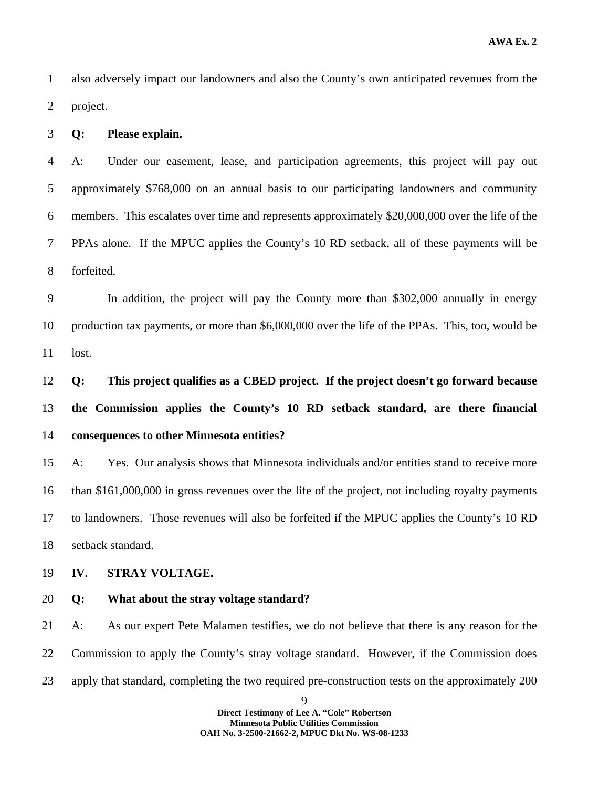1 also adversely impact our landowners and also the County's own anticipated revenues from the 2 project.

3 **Q: Please explain.** 

4 A: Under our easement, lease, and participation agreements, this project will pay out 5 approximately \$768,000 on an annual basis to our participating landowners and community 6 members. This escalates over time and represents approximately \$20,000,000 over the life of the 7 PPAs alone. If the MPUC applies the County's 10 RD setback, all of these payments will be 8 forfeited.

9 In addition, the project will pay the County more than \$302,000 annually in energy 10 production tax payments, or more than \$6,000,000 over the life of the PPAs. This, too, would be 11 lost.

12 **Q: This project qualifies as a CBED project. If the project doesn't go forward because**  13 **the Commission applies the County's 10 RD setback standard, are there financial**  14 **consequences to other Minnesota entities?** 

15 A: Yes. Our analysis shows that Minnesota individuals and/or entities stand to receive more 16 than \$161,000,000 in gross revenues over the life of the project, not including royalty payments 17 to landowners. Those revenues will also be forfeited if the MPUC applies the County's 10 RD 18 setback standard.

#### 19 **IV. STRAY VOLTAGE.**

#### 20 **Q: What about the stray voltage standard?**

21 A: As our expert Pete Malamen testifies, we do not believe that there is any reason for the 22 Commission to apply the County's stray voltage standard. However, if the Commission does 23 apply that standard, completing the two required pre-construction tests on the approximately 200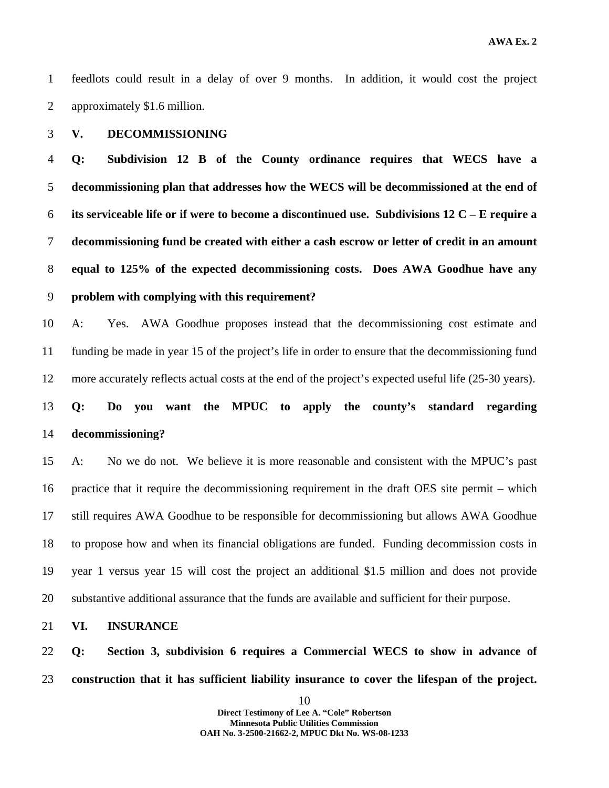1 feedlots could result in a delay of over 9 months. In addition, it would cost the project 2 approximately \$1.6 million.

3 **V. DECOMMISSIONING** 

**Q: Subdivision 12 B of the County ordinance requires that WECS have a decommissioning plan that addresses how the WECS will be decommissioned at the end of its serviceable life or if were to become a discontinued use. Subdivisions 12 C – E require a decommissioning fund be created with either a cash escrow or letter of credit in an amount equal to 125% of the expected decommissioning costs. Does AWA Goodhue have any problem with complying with this requirement?** 

10 A: Yes. AWA Goodhue proposes instead that the decommissioning cost estimate and 11 funding be made in year 15 of the project's life in order to ensure that the decommissioning fund 12 more accurately reflects actual costs at the end of the project's expected useful life (25-30 years).

# 13 **Q: Do you want the MPUC to apply the county's standard regarding**  14 **decommissioning?**

15 A: No we do not. We believe it is more reasonable and consistent with the MPUC's past 16 practice that it require the decommissioning requirement in the draft OES site permit – which 17 still requires AWA Goodhue to be responsible for decommissioning but allows AWA Goodhue 18 to propose how and when its financial obligations are funded. Funding decommission costs in 19 year 1 versus year 15 will cost the project an additional \$1.5 million and does not provide 20 substantive additional assurance that the funds are available and sufficient for their purpose.

21 **VI. INSURANCE** 

22 **Q: Section 3, subdivision 6 requires a Commercial WECS to show in advance of**  23 **construction that it has sufficient liability insurance to cover the lifespan of the project.**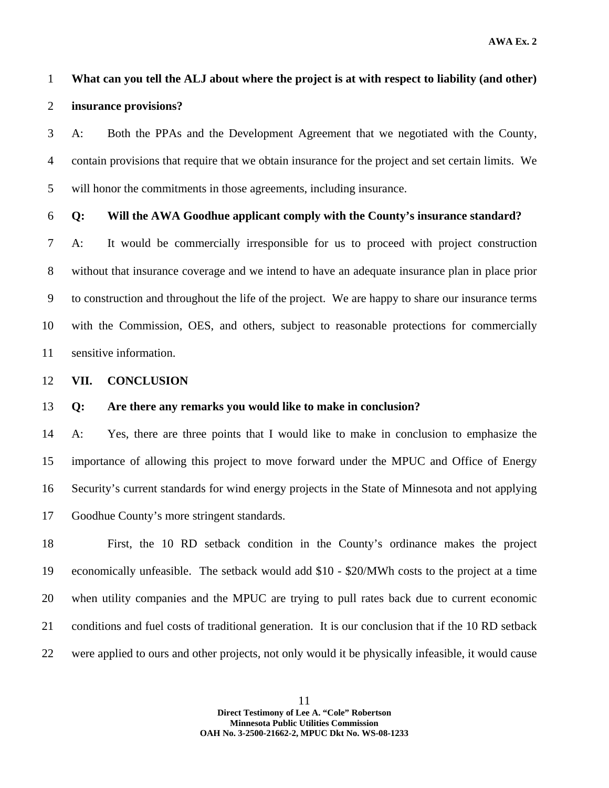# 1 **What can you tell the ALJ about where the project is at with respect to liability (and other)**  2 **insurance provisions?**

3 A: Both the PPAs and the Development Agreement that we negotiated with the County, 4 contain provisions that require that we obtain insurance for the project and set certain limits. We 5 will honor the commitments in those agreements, including insurance.

### 6 **Q: Will the AWA Goodhue applicant comply with the County's insurance standard?**

7 A: It would be commercially irresponsible for us to proceed with project construction 8 without that insurance coverage and we intend to have an adequate insurance plan in place prior 9 to construction and throughout the life of the project. We are happy to share our insurance terms 10 with the Commission, OES, and others, subject to reasonable protections for commercially 11 sensitive information.

#### 12 **VII. CONCLUSION**

#### 13 **Q: Are there any remarks you would like to make in conclusion?**

14 A: Yes, there are three points that I would like to make in conclusion to emphasize the 15 importance of allowing this project to move forward under the MPUC and Office of Energy 16 Security's current standards for wind energy projects in the State of Minnesota and not applying 17 Goodhue County's more stringent standards.

18 First, the 10 RD setback condition in the County's ordinance makes the project 19 economically unfeasible. The setback would add \$10 - \$20/MWh costs to the project at a time 20 when utility companies and the MPUC are trying to pull rates back due to current economic 21 conditions and fuel costs of traditional generation. It is our conclusion that if the 10 RD setback 22 were applied to ours and other projects, not only would it be physically infeasible, it would cause